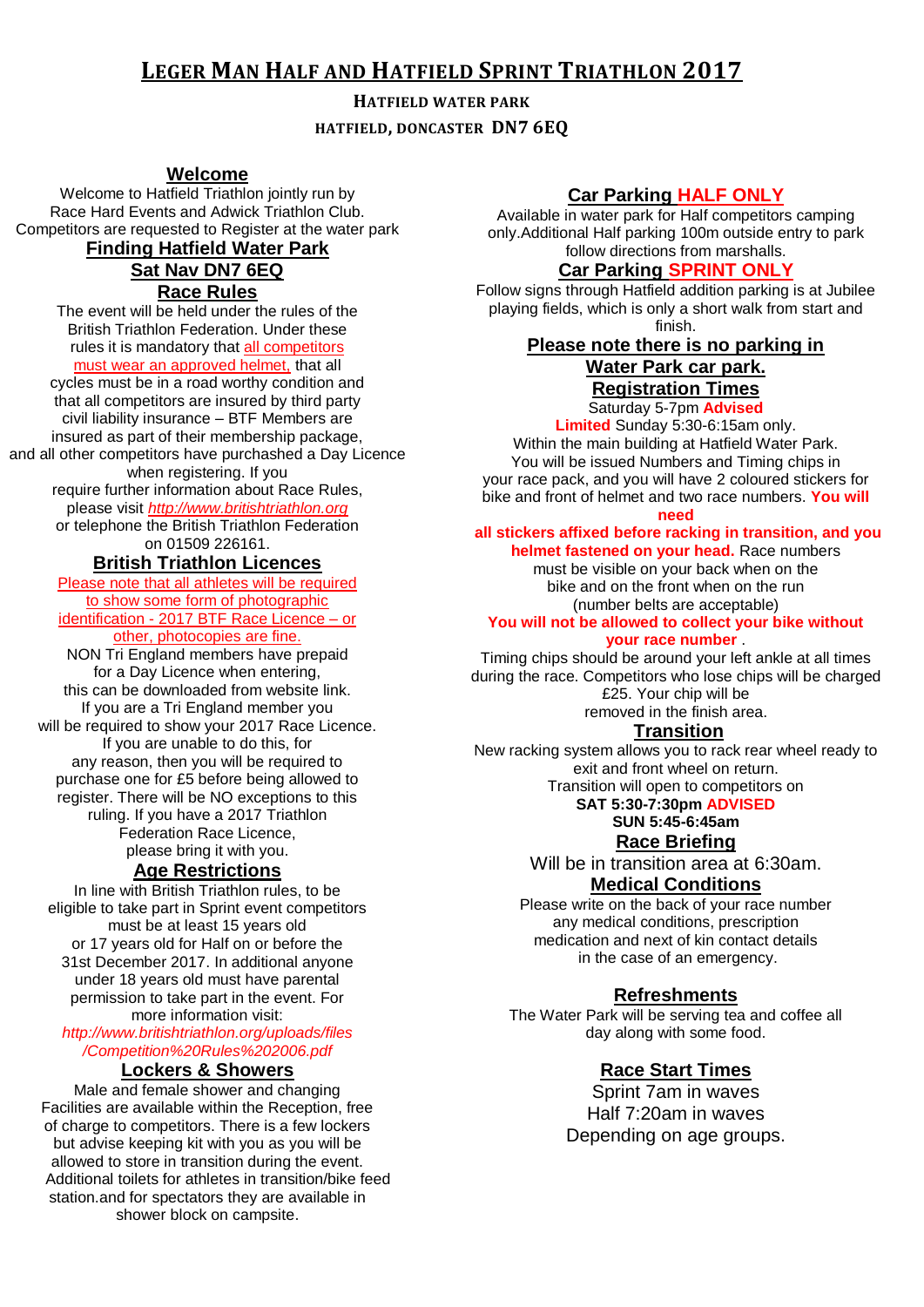# **LEGER MAN HALF AND HATFIELD SPRINT TRIATHLON 2017**

#### **HATFIELD WATER PARK**

**HATFIELD, DONCASTER DN7 6EQ**

### **Welcome**

Welcome to Hatfield Triathlon jointly run by Race Hard Events and Adwick Triathlon Club. Competitors are requested to Register at the water park **Finding Hatfield Water Park**

# **Sat Nav DN7 6EQ**

**Race Rules**

The event will be held under the rules of the British Triathlon Federation. Under these rules it is mandatory that all competitors must wear an approved helmet, that all

cycles must be in a road worthy condition and that all competitors are insured by third party civil liability insurance – BTF Members are insured as part of their membership package, and all other competitors have purchashed a Day Licence when registering. If you require further information about Race Rules, please visit *http://www.britishtriathlon.org* or telephone the British Triathlon Federation

on 01509 226161.

# **British Triathlon Licences**

Please note that all athletes will be required to show some form of photographic identification - 2017 BTF Race Licence – or other, photocopies are fine. NON Tri England members have prepaid for a Day Licence when entering, this can be downloaded from website link.

If you are a Tri England member you will be required to show your 2017 Race Licence. If you are unable to do this, for any reason, then you will be required to purchase one for £5 before being allowed to register. There will be NO exceptions to this ruling. If you have a 2017 Triathlon Federation Race Licence, please bring it with you.

## **Age Restrictions**

In line with British Triathlon rules, to be eligible to take part in Sprint event competitors must be at least 15 years old or 17 years old for Half on or before the 31st December 2017. In additional anyone under 18 years old must have parental permission to take part in the event. For more information visit:

## *http://www.britishtriathlon.org/uploads/files /Competition%20Rules%202006.pdf*

## **Lockers & Showers**

Male and female shower and changing Facilities are available within the Reception, free of charge to competitors. There is a few lockers but advise keeping kit with you as you will be allowed to store in transition during the event. Additional toilets for athletes in transition/bike feed station.and for spectators they are available in shower block on campsite.

## **Car Parking HALF ONLY**

Available in water park for Half competitors camping only.Additional Half parking 100m outside entry to park follow directions from marshalls.

#### **Car Parking SPRINT ONLY**

Follow signs through Hatfield addition parking is at Jubilee playing fields, which is only a short walk from start and finish.

#### **Please note there is no parking in Water Park car park. Registration Times**

Saturday 5-7pm **Advised** 

**Limited** Sunday 5:30-6:15am only. Within the main building at Hatfield Water Park. You will be issued Numbers and Timing chips in your race pack, and you will have 2 coloured stickers for bike and front of helmet and two race numbers. **You will need** 

#### **all stickers affixed before racking in transition, and you**

**helmet fastened on your head.** Race numbers must be visible on your back when on the bike and on the front when on the run (number belts are acceptable)

#### **You will not be allowed to collect your bike without your race number** .

Timing chips should be around your left ankle at all times during the race. Competitors who lose chips will be charged £25. Your chip will be removed in the finish area.

### **Transition**

New racking system allows you to rack rear wheel ready to exit and front wheel on return.

Transition will open to competitors on

# **SAT 5:30-7:30pm ADVISED**

**SUN 5:45-6:45am**

## **Race Briefing**

Will be in transition area at 6:30am. **Medical Conditions**

Please write on the back of your race number any medical conditions, prescription medication and next of kin contact details in the case of an emergency.

### **Refreshments**

The Water Park will be serving tea and coffee all day along with some food.

# **Race Start Times**

Sprint 7am in waves Half 7:20am in waves Depending on age groups.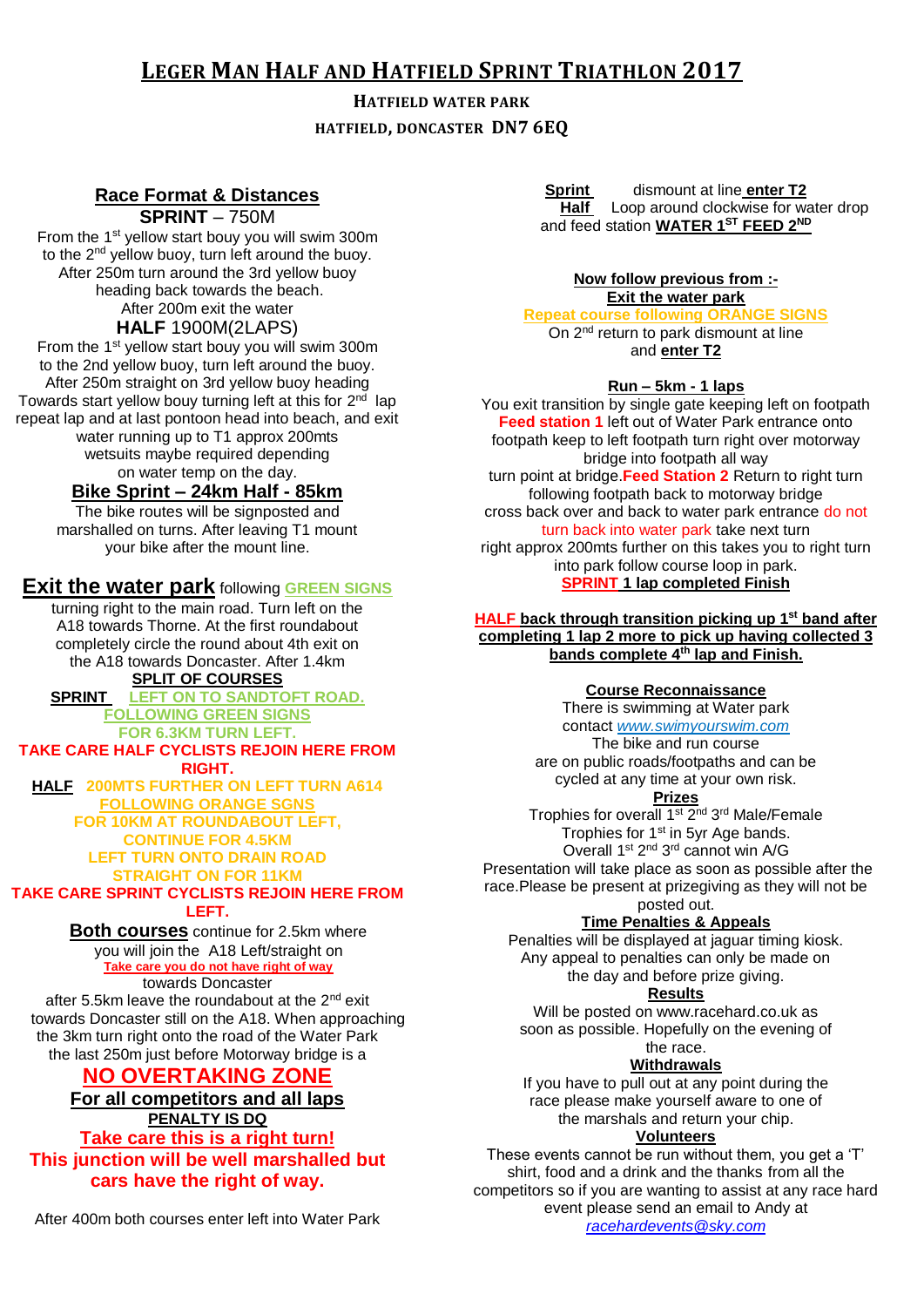# **LEGER MAN HALF AND HATFIELD SPRINT TRIATHLON 2017**

# **HATFIELD WATER PARK HATFIELD, DONCASTER DN7 6EQ**

## **Race Format & Distances SPRINT** – 750M

From the 1<sup>st</sup> yellow start bouy you will swim 300m to the 2<sup>nd</sup> yellow buoy, turn left around the buoy. After 250m turn around the 3rd yellow buoy heading back towards the beach. After 200m exit the water **HALF** 1900M(2LAPS)

From the 1<sup>st</sup> yellow start bouy you will swim 300m to the 2nd yellow buoy, turn left around the buoy. After 250m straight on 3rd yellow buoy heading Towards start yellow bouy turning left at this for 2<sup>nd</sup> lap repeat lap and at last pontoon head into beach, and exit water running up to T1 approx 200mts wetsuits maybe required depending on water temp on the day.

# **Bike Sprint – 24km Half - 85km**

The bike routes will be signposted and marshalled on turns. After leaving T1 mount your bike after the mount line.

# **Exit the water park** following **GREEN SIGNS**

turning right to the main road. Turn left on the A18 towards Thorne. At the first roundabout completely circle the round about 4th exit on the A18 towards Doncaster. After 1.4km **SPLIT OF COURSES**

**SPRINT LEFT ON TO SANDTOFT ROAD. FOLLOWING GREEN SIGNS**

**FOR 6.3KM TURN LEFT. TAKE CARE HALF CYCLISTS REJOIN HERE FROM RIGHT. HALF 200MTS FURTHER ON LEFT TURN A614 FOLLOWING ORANGE SGNS FOR 10KM AT ROUNDABOUT LEFT, CONTINUE FOR 4.5KM LEFT TURN ONTO DRAIN ROAD**

#### **STRAIGHT ON FOR 11KM TAKE CARE SPRINT CYCLISTS REJOIN HERE FROM LEFT.**

**Both courses** continue for 2.5km where you will join the A18 Left/straight on **Take care you do not have right of way** towards Doncaster

after 5.5km leave the roundabout at the  $2^{nd}$  exit towards Doncaster still on the A18. When approaching the 3km turn right onto the road of the Water Park the last 250m just before Motorway bridge is a

# **NO OVERTAKING ZONE**

### **For all competitors and all laps PENALTY IS DQ Take care this is a right turn! This junction will be well marshalled but cars have the right of way.**

After 400m both courses enter left into Water Park

**Sprint dismount at line enter T2 Half** Loop around clockwise for water drop and feed station **WATER 1ST FEED 2ND**

#### **Now follow previous from :- Exit the water park**

**Repeat course following ORANGE SIGNS** On 2<sup>nd</sup> return to park dismount at line and **enter T2**

### **Run – 5km - 1 laps**

You exit transition by single gate keeping left on footpath **Feed station 1** left out of Water Park entrance onto footpath keep to left footpath turn right over motorway bridge into footpath all way turn point at bridge.**Feed Station 2** Return to right turn following footpath back to motorway bridge cross back over and back to water park entrance do not turn back into water park take next turn right approx 200mts further on this takes you to right turn into park follow course loop in park. **SPRINT 1 lap completed Finish** 

#### **HALF back through transition picking up 1st band after completing 1 lap 2 more to pick up having collected 3 bands complete 4th lap and Finish.**

#### **Course Reconnaissance**

There is swimming at Water park contact *www.swimyourswim.com* The bike and run course

are on public roads/footpaths and can be cycled at any time at your own risk.

# **Prizes**

Trophies for overall 1<sup>st</sup> 2<sup>nd</sup> 3<sup>rd</sup> Male/Female Trophies for 1<sup>st</sup> in 5yr Age bands. Overall 1<sup>st</sup> 2<sup>nd</sup> 3<sup>rd</sup> cannot win A/G Presentation will take place as soon as possible after the race.Please be present at prizegiving as they will not be posted out.

### **Time Penalties & Appeals**

Penalties will be displayed at jaguar timing kiosk. Any appeal to penalties can only be made on the day and before prize giving.

#### **Results**

Will be posted on www.racehard.co.uk as soon as possible. Hopefully on the evening of the race.

#### **Withdrawals**

If you have to pull out at any point during the race please make yourself aware to one of the marshals and return your chip.

#### **Volunteers**

These events cannot be run without them, you get a 'T' shirt, food and a drink and the thanks from all the competitors so if you are wanting to assist at any race hard event please send an email to Andy at *[racehardevents@sky.com](mailto:racehardevents@sky.com)*